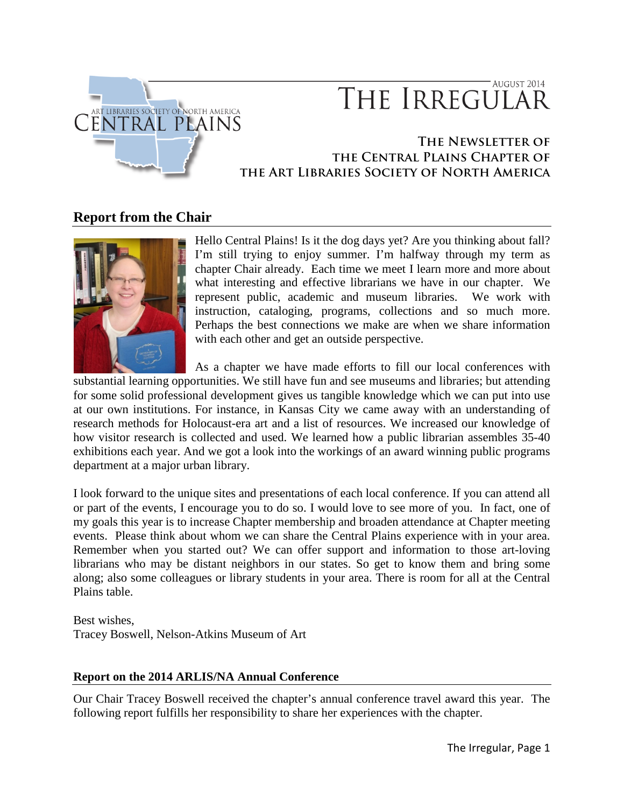

# AUGUST 2014 THE IRREGULAR

# **The Newsletter of the Central Plains Chapter of the Art Libraries Society of North America**

# **Report from the Chair**



Hello Central Plains! Is it the dog days yet? Are you thinking about fall? I'm still trying to enjoy summer. I'm halfway through my term as chapter Chair already. Each time we meet I learn more and more about what interesting and effective librarians we have in our chapter. We represent public, academic and museum libraries. We work with instruction, cataloging, programs, collections and so much more. Perhaps the best connections we make are when we share information with each other and get an outside perspective.

As a chapter we have made efforts to fill our local conferences with

substantial learning opportunities. We still have fun and see museums and libraries; but attending for some solid professional development gives us tangible knowledge which we can put into use at our own institutions. For instance, in Kansas City we came away with an understanding of research methods for Holocaust-era art and a list of resources. We increased our knowledge of how visitor research is collected and used. We learned how a public librarian assembles 35-40 exhibitions each year. And we got a look into the workings of an award winning public programs department at a major urban library.

I look forward to the unique sites and presentations of each local conference. If you can attend all or part of the events, I encourage you to do so. I would love to see more of you. In fact, one of my goals this year is to increase Chapter membership and broaden attendance at Chapter meeting events. Please think about whom we can share the Central Plains experience with in your area. Remember when you started out? We can offer support and information to those art-loving librarians who may be distant neighbors in our states. So get to know them and bring some along; also some colleagues or library students in your area. There is room for all at the Central Plains table.

Best wishes, Tracey Boswell, Nelson-Atkins Museum of Art

# **Report on the 2014 ARLIS/NA Annual Conference**

Our Chair Tracey Boswell received the chapter's annual conference travel award this year. The following report fulfills her responsibility to share her experiences with the chapter.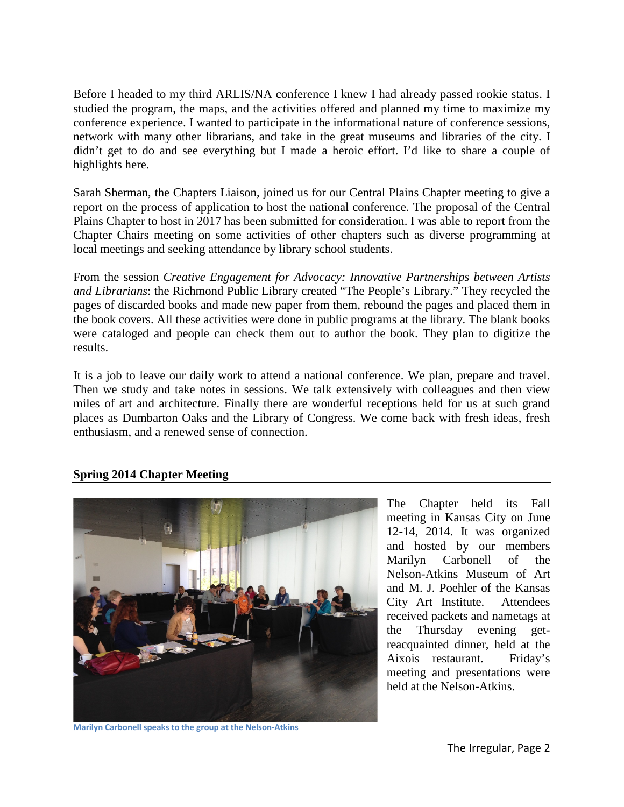Before I headed to my third ARLIS/NA conference I knew I had already passed rookie status. I studied the program, the maps, and the activities offered and planned my time to maximize my conference experience. I wanted to participate in the informational nature of conference sessions, network with many other librarians, and take in the great museums and libraries of the city. I didn't get to do and see everything but I made a heroic effort. I'd like to share a couple of highlights here.

Sarah Sherman, the Chapters Liaison, joined us for our Central Plains Chapter meeting to give a report on the process of application to host the national conference. The proposal of the Central Plains Chapter to host in 2017 has been submitted for consideration. I was able to report from the Chapter Chairs meeting on some activities of other chapters such as diverse programming at local meetings and seeking attendance by library school students.

From the session *Creative Engagement for Advocacy: Innovative Partnerships between Artists and Librarians*: the Richmond Public Library created "The People's Library." They recycled the pages of discarded books and made new paper from them, rebound the pages and placed them in the book covers. All these activities were done in public programs at the library. The blank books were cataloged and people can check them out to author the book. They plan to digitize the results.

It is a job to leave our daily work to attend a national conference. We plan, prepare and travel. Then we study and take notes in sessions. We talk extensively with colleagues and then view miles of art and architecture. Finally there are wonderful receptions held for us at such grand places as Dumbarton Oaks and the Library of Congress. We come back with fresh ideas, fresh enthusiasm, and a renewed sense of connection.

#### **Spring 2014 Chapter Meeting**



The Chapter held its Fall meeting in Kansas City on June 12-14, 2014. It was organized and hosted by our members Marilyn Carbonell of the Nelson-Atkins Museum of Art and M. J. Poehler of the Kansas City Art Institute. Attendees received packets and nametags at the Thursday evening getreacquainted dinner, held at the Aixois restaurant. Friday's meeting and presentations were held at the Nelson-Atkins.

**Marilyn Carbonell speaks to the group at the Nelson-Atkins**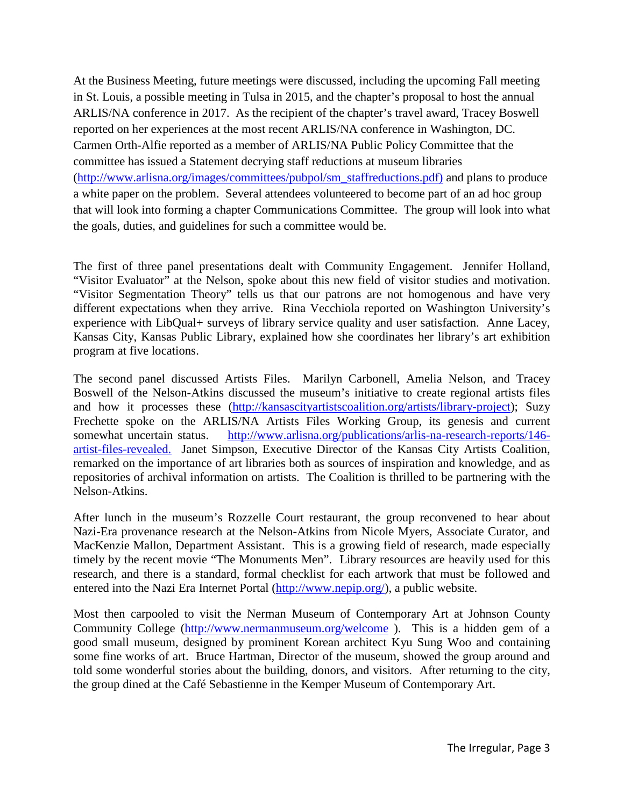At the Business Meeting, future meetings were discussed, including the upcoming Fall meeting in St. Louis, a possible meeting in Tulsa in 2015, and the chapter's proposal to host the annual ARLIS/NA conference in 2017. As the recipient of the chapter's travel award, Tracey Boswell reported on her experiences at the most recent ARLIS/NA conference in Washington, DC. Carmen Orth-Alfie reported as a member of ARLIS/NA Public Policy Committee that the committee has issued a Statement decrying staff reductions at museum libraries [\(http://www.arlisna.org/images/committees/pubpol/sm\\_staffreductions.pdf\)](http://www.arlisna.org/images/committees/pubpol/sm_staffreductions.pdf) and plans to produce a white paper on the problem. Several attendees volunteered to become part of an ad hoc group that will look into forming a chapter Communications Committee. The group will look into what the goals, duties, and guidelines for such a committee would be.

The first of three panel presentations dealt with Community Engagement. Jennifer Holland, "Visitor Evaluator" at the Nelson, spoke about this new field of visitor studies and motivation. "Visitor Segmentation Theory" tells us that our patrons are not homogenous and have very different expectations when they arrive. Rina Vecchiola reported on Washington University's experience with LibQual+ surveys of library service quality and user satisfaction. Anne Lacey, Kansas City, Kansas Public Library, explained how she coordinates her library's art exhibition program at five locations.

The second panel discussed Artists Files. Marilyn Carbonell, Amelia Nelson, and Tracey Boswell of the Nelson-Atkins discussed the museum's initiative to create regional artists files and how it processes these [\(http://kansascityartistscoalition.org/artists/library-project\)](http://kansascityartistscoalition.org/artists/library-project); Suzy Frechette spoke on the ARLIS/NA Artists Files Working Group, its genesis and current somewhat uncertain status. [http://www.arlisna.org/publications/arlis-na-research-reports/146](http://www.arlisna.org/publications/arlis-na-research-reports/146-artist-files-revealed) [artist-files-revealed.](http://www.arlisna.org/publications/arlis-na-research-reports/146-artist-files-revealed) Janet Simpson, Executive Director of the Kansas City Artists Coalition, remarked on the importance of art libraries both as sources of inspiration and knowledge, and as repositories of archival information on artists. The Coalition is thrilled to be partnering with the Nelson-Atkins.

After lunch in the museum's Rozzelle Court restaurant, the group reconvened to hear about Nazi-Era provenance research at the Nelson-Atkins from Nicole Myers, Associate Curator, and MacKenzie Mallon, Department Assistant. This is a growing field of research, made especially timely by the recent movie "The Monuments Men". Library resources are heavily used for this research, and there is a standard, formal checklist for each artwork that must be followed and entered into the Nazi Era Internet Portal ( $\frac{http://www.nepip.org/}{http://www.nepip.org/}$ ), a public website.

Most then carpooled to visit the Nerman Museum of Contemporary Art at Johnson County Community College [\(http://www.nermanmuseum.org/welcome](http://www.nermanmuseum.org/welcome) ). This is a hidden gem of a good small museum, designed by prominent Korean architect Kyu Sung Woo and containing some fine works of art. Bruce Hartman, Director of the museum, showed the group around and told some wonderful stories about the building, donors, and visitors. After returning to the city, the group dined at the Café Sebastienne in the Kemper Museum of Contemporary Art.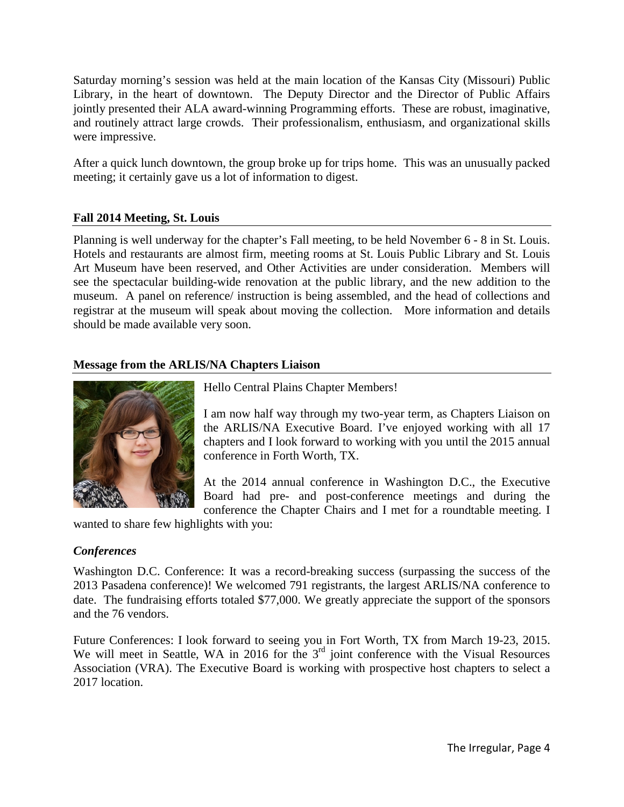Saturday morning's session was held at the main location of the Kansas City (Missouri) Public Library, in the heart of downtown. The Deputy Director and the Director of Public Affairs jointly presented their ALA award-winning Programming efforts. These are robust, imaginative, and routinely attract large crowds. Their professionalism, enthusiasm, and organizational skills were impressive.

After a quick lunch downtown, the group broke up for trips home. This was an unusually packed meeting; it certainly gave us a lot of information to digest.

# **Fall 2014 Meeting, St. Louis**

Planning is well underway for the chapter's Fall meeting, to be held November 6 - 8 in St. Louis. Hotels and restaurants are almost firm, meeting rooms at St. Louis Public Library and St. Louis Art Museum have been reserved, and Other Activities are under consideration. Members will see the spectacular building-wide renovation at the public library, and the new addition to the museum. A panel on reference/ instruction is being assembled, and the head of collections and registrar at the museum will speak about moving the collection. More information and details should be made available very soon.

# **Message from the ARLIS/NA Chapters Liaison**



Hello Central Plains Chapter Members!

I am now half way through my two-year term, as Chapters Liaison on the ARLIS/NA Executive Board. I've enjoyed working with all 17 chapters and I look forward to working with you until the 2015 annual conference in Forth Worth, TX.

At the 2014 annual conference in Washington D.C., the Executive Board had pre- and post-conference meetings and during the conference the Chapter Chairs and I met for a roundtable meeting. I

wanted to share few highlights with you:

# *Conferences*

Washington D.C. Conference: It was a record-breaking success (surpassing the success of the 2013 Pasadena conference)! We welcomed 791 registrants, the largest ARLIS/NA conference to date. The fundraising efforts totaled \$77,000. We greatly appreciate the support of the sponsors and the 76 vendors.

Future Conferences: I look forward to seeing you in Fort Worth, TX from March 19-23, 2015. We will meet in Seattle, WA in 2016 for the 3<sup>rd</sup> joint conference with the Visual Resources Association (VRA). The Executive Board is working with prospective host chapters to select a 2017 location.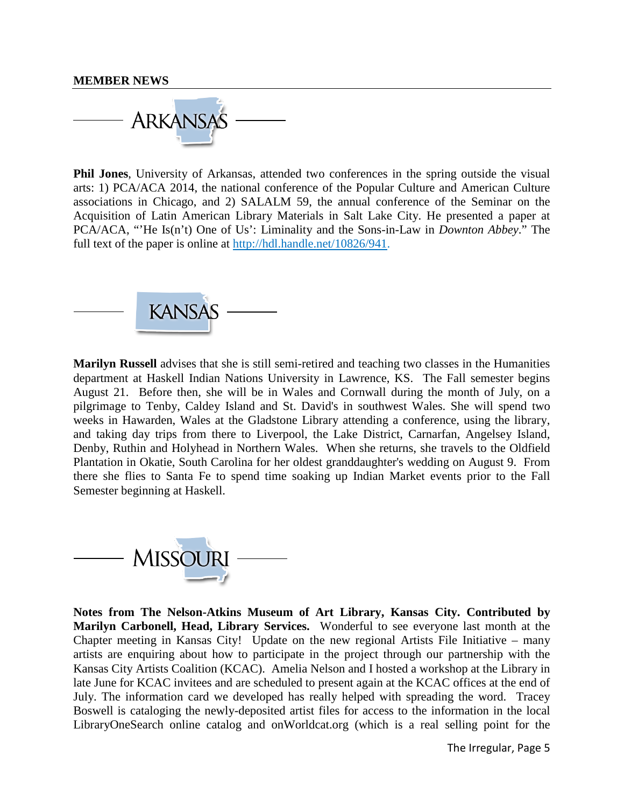#### **MEMBER NEWS**



**Phil Jones**, University of Arkansas, attended two conferences in the spring outside the visual arts: 1) PCA/ACA 2014, the national conference of the Popular Culture and American Culture associations in Chicago, and 2) SALALM 59, the annual conference of the Seminar on the Acquisition of Latin American Library Materials in Salt Lake City. He presented a paper at PCA/ACA, "'He Is(n't) One of Us': Liminality and the Sons-in-Law in *Downton Abbey*." The full text of the paper is online at [http://hdl.handle.net/10826/941.](http://hdl.handle.net/10826/941)



**Marilyn Russell** advises that she is still semi-retired and teaching two classes in the Humanities department at Haskell Indian Nations University in Lawrence, KS. The Fall semester begins August 21. Before then, she will be in Wales and Cornwall during the month of July, on a pilgrimage to Tenby, Caldey Island and St. David's in southwest Wales. She will spend two weeks in Hawarden, Wales at the Gladstone Library attending a conference, using the library, and taking day trips from there to Liverpool, the Lake District, Carnarfan, Angelsey Island, Denby, Ruthin and Holyhead in Northern Wales. When she returns, she travels to the Oldfield Plantation in Okatie, South Carolina for her oldest granddaughter's wedding on August 9. From there she flies to Santa Fe to spend time soaking up Indian Market events prior to the Fall Semester beginning at Haskell.



**Notes from The Nelson-Atkins Museum of Art Library, Kansas City. Contributed by Marilyn Carbonell, Head, Library Services.** Wonderful to see everyone last month at the Chapter meeting in Kansas City! Update on the new regional Artists File Initiative – many artists are enquiring about how to participate in the project through our partnership with the Kansas City Artists Coalition (KCAC). Amelia Nelson and I hosted a workshop at the Library in late June for KCAC invitees and are scheduled to present again at the KCAC offices at the end of July. The information card we developed has really helped with spreading the word. Tracey Boswell is cataloging the newly-deposited artist files for access to the information in the local LibraryOneSearch online catalog and onWorldcat.org (which is a real selling point for the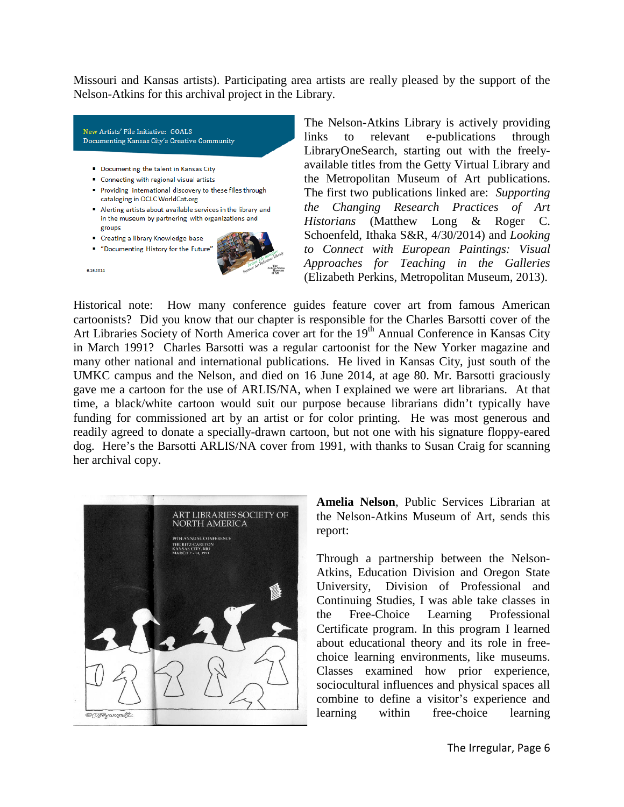Missouri and Kansas artists). Participating area artists are really pleased by the support of the Nelson-Atkins for this archival project in the Library.

New Artists' File Initiative: GOALS Documenting Kansas City's Creative Community • Documenting the talent in Kansas City • Connecting with regional visual artists Providing international discovery to these files through

- cataloging in OCLC WorldCat.org
- Alerting artists about available services in the library and in the museum by partnering with organizations and groups
- Creating a library Knowledge base
- " "Documenting History for the Future'

6.16.2014



The Nelson-Atkins Library is actively providing links to relevant e-publications through LibraryOneSearch, starting out with the freelyavailable titles from the Getty Virtual Library and the Metropolitan Museum of Art publications. The first two publications linked are: *Supporting the Changing Research Practices of Art Historians* (Matthew Long & Roger C. Schoenfeld, Ithaka S&R, 4/30/2014) and *Looking to Connect with European Paintings: Visual Approaches for Teaching in the Galleries* (Elizabeth Perkins, Metropolitan Museum, 2013).

Historical note: How many conference guides feature cover art from famous American cartoonists? Did you know that our chapter is responsible for the Charles Barsotti cover of the Art Libraries Society of North America cover art for the 19<sup>th</sup> Annual Conference in Kansas City in March 1991? Charles Barsotti was a regular cartoonist for the New Yorker magazine and many other national and international publications. He lived in Kansas City, just south of the UMKC campus and the Nelson, and died on 16 June 2014, at age 80. Mr. Barsotti graciously gave me a cartoon for the use of ARLIS/NA, when I explained we were art librarians. At that time, a black/white cartoon would suit our purpose because librarians didn't typically have funding for commissioned art by an artist or for color printing. He was most generous and readily agreed to donate a specially-drawn cartoon, but not one with his signature floppy-eared dog. Here's the Barsotti ARLIS/NA cover from 1991, with thanks to Susan Craig for scanning her archival copy.



**Amelia Nelson**, Public Services Librarian at the Nelson-Atkins Museum of Art, sends this report:

Through a partnership between the Nelson-Atkins, Education Division and Oregon State University, Division of Professional and Continuing Studies, I was able take classes in the Free-Choice Learning Professional Certificate program. In this program I learned about educational theory and its role in freechoice learning environments, like museums. Classes examined how prior experience, sociocultural influences and physical spaces all combine to define a visitor's experience and learning within free-choice learning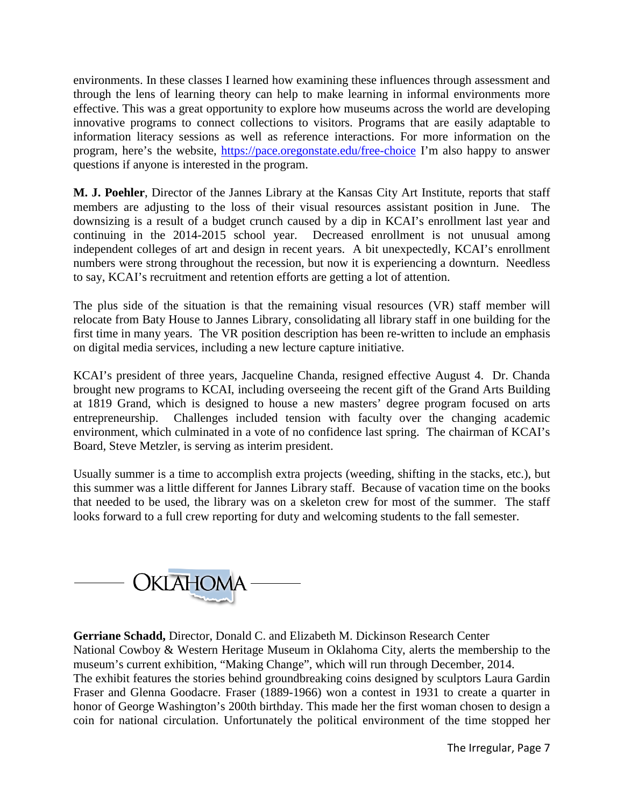environments. In these classes I learned how examining these influences through assessment and through the lens of learning theory can help to make learning in informal environments more effective. This was a great opportunity to explore how museums across the world are developing innovative programs to connect collections to visitors. Programs that are easily adaptable to information literacy sessions as well as reference interactions. For more information on the program, here's the website,<https://pace.oregonstate.edu/free-choice> I'm also happy to answer questions if anyone is interested in the program.

**M. J. Poehler**, Director of the Jannes Library at the Kansas City Art Institute, reports that staff members are adjusting to the loss of their visual resources assistant position in June. The downsizing is a result of a budget crunch caused by a dip in KCAI's enrollment last year and continuing in the 2014-2015 school year. Decreased enrollment is not unusual among independent colleges of art and design in recent years. A bit unexpectedly, KCAI's enrollment numbers were strong throughout the recession, but now it is experiencing a downturn. Needless to say, KCAI's recruitment and retention efforts are getting a lot of attention.

The plus side of the situation is that the remaining visual resources (VR) staff member will relocate from Baty House to Jannes Library, consolidating all library staff in one building for the first time in many years. The VR position description has been re-written to include an emphasis on digital media services, including a new lecture capture initiative.

KCAI's president of three years, Jacqueline Chanda, resigned effective August 4. Dr. Chanda brought new programs to KCAI, including overseeing the recent gift of the Grand Arts Building at 1819 Grand, which is designed to house a new masters' degree program focused on arts entrepreneurship. Challenges included tension with faculty over the changing academic environment, which culminated in a vote of no confidence last spring. The chairman of KCAI's Board, Steve Metzler, is serving as interim president.

Usually summer is a time to accomplish extra projects (weeding, shifting in the stacks, etc.), but this summer was a little different for Jannes Library staff. Because of vacation time on the books that needed to be used, the library was on a skeleton crew for most of the summer. The staff looks forward to a full crew reporting for duty and welcoming students to the fall semester.



**Gerriane Schadd,** Director, Donald C. and Elizabeth M. Dickinson Research Center National Cowboy & Western Heritage Museum in Oklahoma City, alerts the membership to the museum's current exhibition, "Making Change", which will run through December, 2014. The exhibit features the stories behind groundbreaking coins designed by sculptors Laura Gardin Fraser and Glenna Goodacre. Fraser (1889-1966) won a contest in 1931 to create a quarter in honor of George Washington's 200th birthday. This made her the first woman chosen to design a coin for national circulation. Unfortunately the political environment of the time stopped her